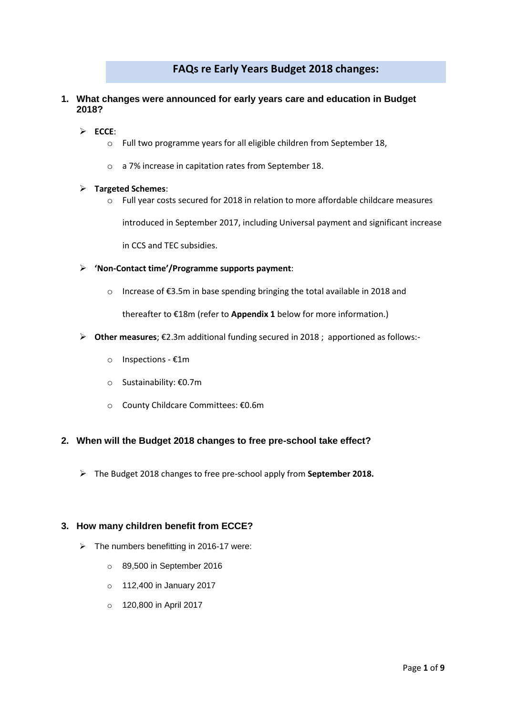# **FAQs re Early Years Budget 2018 changes:**

- **1. What changes were announced for early years care and education in Budget 2018?**
	- **ECCE**:
		- o Full two programme years for all eligible children from September 18,
		- o a 7% increase in capitation rates from September 18.

#### **Targeted Schemes**:

 $\circ$  Full year costs secured for 2018 in relation to more affordable childcare measures

introduced in September 2017, including Universal payment and significant increase

in CCS and TEC subsidies.

- **'Non-Contact time'/Programme supports payment**:
	- o Increase of €3.5m in base spending bringing the total available in 2018 and

thereafter to €18m (refer to **Appendix 1** below for more information.)

- **Other measures**; €2.3m additional funding secured in 2018 ; apportioned as follows:
	- o Inspections €1m
	- o Sustainability: €0.7m
	- o County Childcare Committees: €0.6m

## **2. When will the Budget 2018 changes to free pre-school take effect?**

The Budget 2018 changes to free pre-school apply from **September 2018.**

## **3. How many children benefit from ECCE?**

- $\triangleright$  The numbers benefitting in 2016-17 were:
	- o 89,500 in September 2016
	- o 112,400 in January 2017
	- o 120,800 in April 2017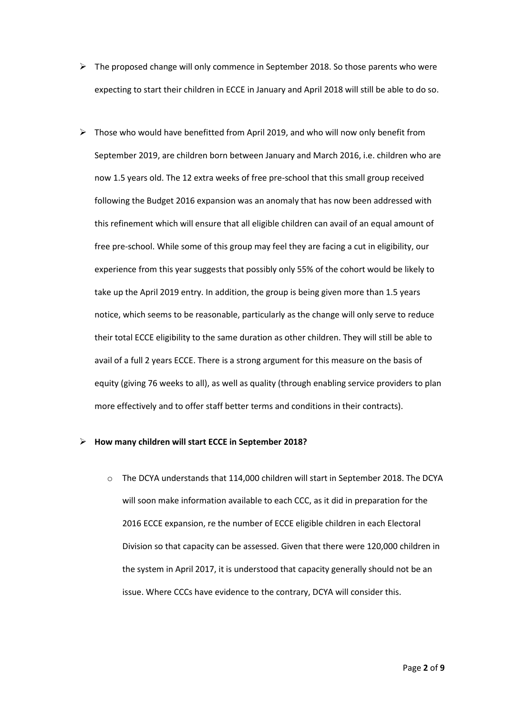- $\triangleright$  The proposed change will only commence in September 2018. So those parents who were expecting to start their children in ECCE in January and April 2018 will still be able to do so.
- $\triangleright$  Those who would have benefitted from April 2019, and who will now only benefit from September 2019, are children born between January and March 2016, i.e. children who are now 1.5 years old. The 12 extra weeks of free pre-school that this small group received following the Budget 2016 expansion was an anomaly that has now been addressed with this refinement which will ensure that all eligible children can avail of an equal amount of free pre-school. While some of this group may feel they are facing a cut in eligibility, our experience from this year suggests that possibly only 55% of the cohort would be likely to take up the April 2019 entry. In addition, the group is being given more than 1.5 years notice, which seems to be reasonable, particularly as the change will only serve to reduce their total ECCE eligibility to the same duration as other children. They will still be able to avail of a full 2 years ECCE. There is a strong argument for this measure on the basis of equity (giving 76 weeks to all), as well as quality (through enabling service providers to plan more effectively and to offer staff better terms and conditions in their contracts).

#### **How many children will start ECCE in September 2018?**

o The DCYA understands that 114,000 children will start in September 2018. The DCYA will soon make information available to each CCC, as it did in preparation for the 2016 ECCE expansion, re the number of ECCE eligible children in each Electoral Division so that capacity can be assessed. Given that there were 120,000 children in the system in April 2017, it is understood that capacity generally should not be an issue. Where CCCs have evidence to the contrary, DCYA will consider this.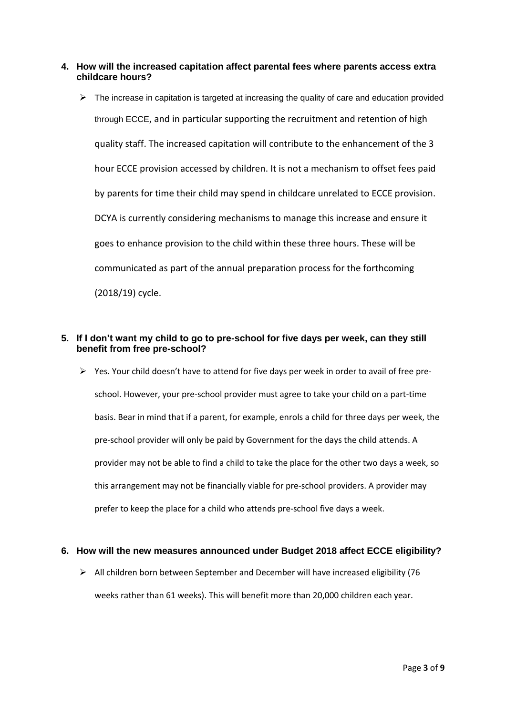- **4. How will the increased capitation affect parental fees where parents access extra childcare hours?** 
	- $\triangleright$  The increase in capitation is targeted at increasing the quality of care and education provided through ECCE, and in particular supporting the recruitment and retention of high quality staff. The increased capitation will contribute to the enhancement of the 3 hour ECCE provision accessed by children. It is not a mechanism to offset fees paid by parents for time their child may spend in childcare unrelated to ECCE provision. DCYA is currently considering mechanisms to manage this increase and ensure it goes to enhance provision to the child within these three hours. These will be communicated as part of the annual preparation process for the forthcoming (2018/19) cycle.

# **5. If I don't want my child to go to pre-school for five days per week, can they still benefit from free pre-school?**

 $\triangleright$  Yes. Your child doesn't have to attend for five days per week in order to avail of free preschool. However, your pre-school provider must agree to take your child on a part-time basis. Bear in mind that if a parent, for example, enrols a child for three days per week, the pre-school provider will only be paid by Government for the days the child attends. A provider may not be able to find a child to take the place for the other two days a week, so this arrangement may not be financially viable for pre-school providers. A provider may prefer to keep the place for a child who attends pre-school five days a week.

## **6. How will the new measures announced under Budget 2018 affect ECCE eligibility?**

 $\triangleright$  All children born between September and December will have increased eligibility (76 weeks rather than 61 weeks). This will benefit more than 20,000 children each year.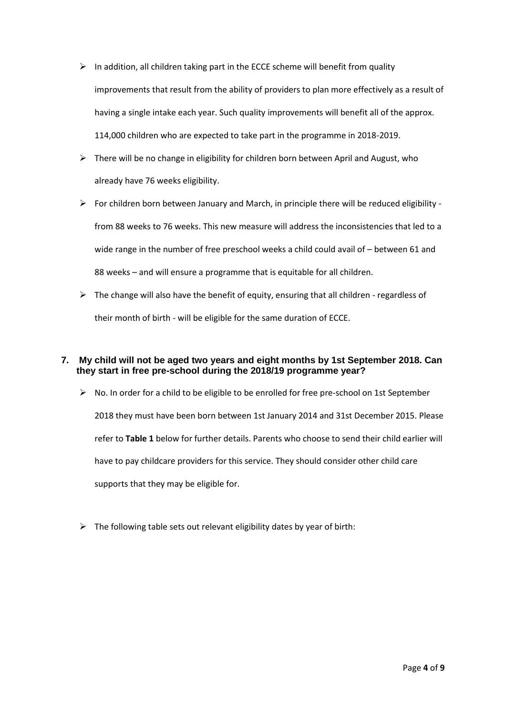- $\triangleright$  In addition, all children taking part in the ECCE scheme will benefit from quality improvements that result from the ability of providers to plan more effectively as a result of having a single intake each year. Such quality improvements will benefit all of the approx. 114,000 children who are expected to take part in the programme in 2018-2019.
- $\triangleright$  There will be no change in eligibility for children born between April and August, who already have 76 weeks eligibility.
- $\triangleright$  For children born between January and March, in principle there will be reduced eligibility from 88 weeks to 76 weeks. This new measure will address the inconsistencies that led to a wide range in the number of free preschool weeks a child could avail of – between 61 and 88 weeks – and will ensure a programme that is equitable for all children.
- $\triangleright$  The change will also have the benefit of equity, ensuring that all children regardless of their month of birth - will be eligible for the same duration of ECCE.

# **7. My child will not be aged two years and eight months by 1st September 2018. Can they start in free pre-school during the 2018/19 programme year?**

- $\triangleright$  No. In order for a child to be eligible to be enrolled for free pre-school on 1st September 2018 they must have been born between 1st January 2014 and 31st December 2015. Please refer to **Table 1** below for further details. Parents who choose to send their child earlier will have to pay childcare providers for this service. They should consider other child care supports that they may be eligible for.
- $\triangleright$  The following table sets out relevant eligibility dates by year of birth: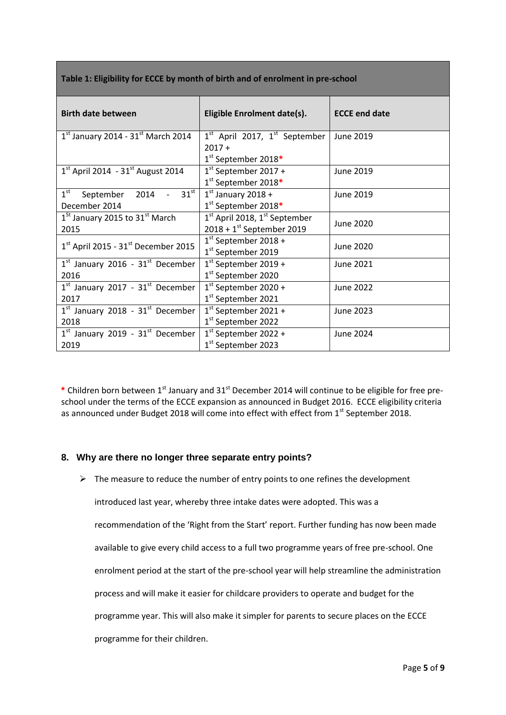| Table 1: Eligibility for ECCE by month of birth and of enrolment in pre-school |
|--------------------------------------------------------------------------------|
|--------------------------------------------------------------------------------|

| <b>Birth date between</b>                            | Eligible Enrolment date(s).       | <b>ECCE end date</b> |  |
|------------------------------------------------------|-----------------------------------|----------------------|--|
| $1st$ January 2014 - 31st March 2014                 | $1st$ April 2017, $1st$ September | <b>June 2019</b>     |  |
|                                                      | $2017 +$<br>1st September 2018*   |                      |  |
| $1^{st}$ April 2014 - 31st August 2014               | $1st$ September 2017 +            | June 2019            |  |
|                                                      | 1 <sup>st</sup> September 2018*   |                      |  |
| $1^{\rm st}$<br>2014 - $31^{\text{st}}$<br>September | $1st$ January 2018 +              | June 2019            |  |
| December 2014                                        | 1 <sup>st</sup> September 2018*   |                      |  |
| $1St$ January 2015 to 31 <sup>st</sup> March         | $1st$ April 2018, $1st$ September |                      |  |
| 2015                                                 | $2018 + 1^{st}$ September 2019    | June 2020            |  |
| $1st$ April 2015 - 31 <sup>st</sup> December 2015    | $1st$ September 2018 +            | June 2020            |  |
|                                                      | 1 <sup>st</sup> September 2019    |                      |  |
| $1st$ January 2016 - 31 $st$ December                | $1st$ September 2019 +            | June 2021            |  |
| 2016                                                 | 1 <sup>st</sup> September 2020    |                      |  |
| $1st$ January 2017 - 31 $st$ December                | $1st$ September 2020 +            | June 2022            |  |
| 2017                                                 | 1 <sup>st</sup> September 2021    |                      |  |
| $1st$ January 2018 - $31st$ December                 | $1st$ September 2021 +            | June 2023            |  |
| 2018                                                 | 1 <sup>st</sup> September 2022    |                      |  |
| $1st$ January 2019 - 31 $st$ December                | $1st$ September 2022 +            | June 2024            |  |
| 2019                                                 | 1 <sup>st</sup> September 2023    |                      |  |

\* Children born between 1<sup>st</sup> January and 31<sup>st</sup> December 2014 will continue to be eligible for free preschool under the terms of the ECCE expansion as announced in Budget 2016. ECCE eligibility criteria as announced under Budget 2018 will come into effect with effect from 1<sup>st</sup> September 2018.

# **8. Why are there no longer three separate entry points?**

 $\triangleright$  The measure to reduce the number of entry points to one refines the development introduced last year, whereby three intake dates were adopted. This was a recommendation of the 'Right from the Start' report. Further funding has now been made available to give every child access to a full two programme years of free pre-school. One enrolment period at the start of the pre-school year will help streamline the administration process and will make it easier for childcare providers to operate and budget for the programme year. This will also make it simpler for parents to secure places on the ECCE programme for their children.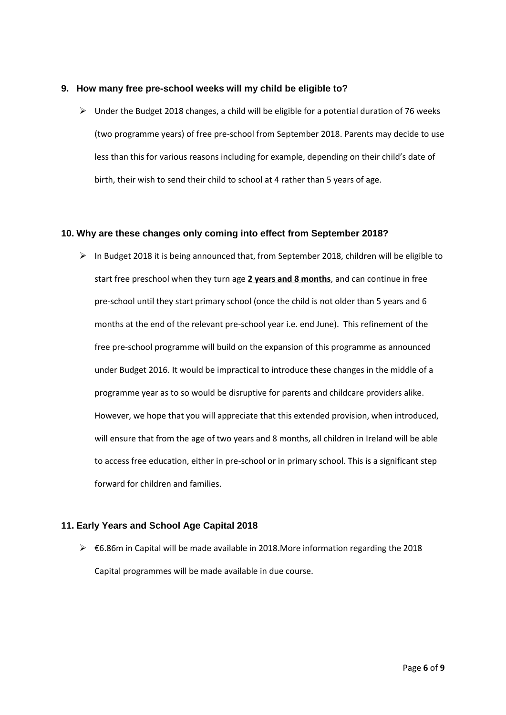## **9. How many free pre-school weeks will my child be eligible to?**

 $\triangleright$  Under the Budget 2018 changes, a child will be eligible for a potential duration of 76 weeks (two programme years) of free pre-school from September 2018. Parents may decide to use less than this for various reasons including for example, depending on their child's date of birth, their wish to send their child to school at 4 rather than 5 years of age.

# **10. Why are these changes only coming into effect from September 2018?**

 $\triangleright$  In Budget 2018 it is being announced that, from September 2018, children will be eligible to start free preschool when they turn age **2 years and 8 months**, and can continue in free pre-school until they start primary school (once the child is not older than 5 years and 6 months at the end of the relevant pre-school year i.e. end June). This refinement of the free pre-school programme will build on the expansion of this programme as announced under Budget 2016. It would be impractical to introduce these changes in the middle of a programme year as to so would be disruptive for parents and childcare providers alike. However, we hope that you will appreciate that this extended provision, when introduced, will ensure that from the age of two years and 8 months, all children in Ireland will be able to access free education, either in pre-school or in primary school. This is a significant step forward for children and families.

# **11. Early Years and School Age Capital 2018**

 $\triangleright$   $\epsilon$ 6.86m in Capital will be made available in 2018. More information regarding the 2018 Capital programmes will be made available in due course.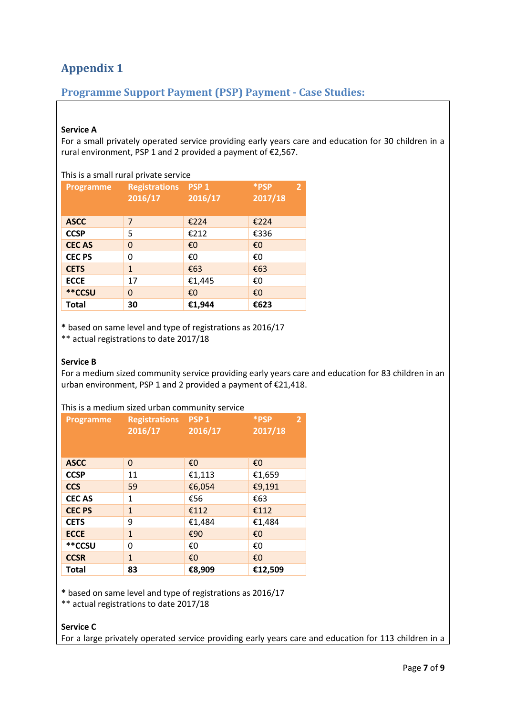# **Appendix 1**

# **Programme Support Payment (PSP) Payment - Case Studies:**

# **Service A**

For a small privately operated service providing early years care and education for 30 children in a rural environment, PSP 1 and 2 provided a payment of €2,567.

| This is a small rural private service |                                 |                             |                                   |
|---------------------------------------|---------------------------------|-----------------------------|-----------------------------------|
| Programme                             | <b>Registrations</b><br>2016/17 | PSP <sub>1</sub><br>2016/17 | *PSP<br>$\overline{2}$<br>2017/18 |
| <b>ASCC</b>                           | 7                               | €224                        | €224                              |
| <b>CCSP</b>                           | 5                               | €212                        | €336                              |
| <b>CECAS</b>                          | 0                               | €O                          | €0                                |
| <b>CEC PS</b>                         | 0                               | €0                          | €0                                |
| <b>CETS</b>                           | $\mathbf{1}$                    | £63                         | €63                               |
| <b>ECCE</b>                           | 17                              | €1,445                      | €0                                |
| **CCSU                                | $\Omega$                        | €O                          | €0                                |
| <b>Total</b>                          | 30                              | €1,944                      | €623                              |

**\*** based on same level and type of registrations as 2016/17

\*\* actual registrations to date 2017/18

## **Service B**

For a medium sized community service providing early years care and education for 83 children in an urban environment, PSP 1 and 2 provided a payment of €21,418.

# This is a medium sized urban community service

| <b>Programme</b> | <b>Registrations PSP1</b> |         | *PSP<br>2 <sup>1</sup> |
|------------------|---------------------------|---------|------------------------|
|                  | 2016/17                   | 2016/17 | 2017/18                |
|                  |                           |         |                        |
|                  |                           |         |                        |
| <b>ASCC</b>      | 0                         | €0      | €0                     |
| <b>CCSP</b>      | 11                        | €1,113  | €1,659                 |
| <b>CCS</b>       | 59                        | €6,054  | €9,191                 |
| <b>CECAS</b>     | 1                         | €56     | €63                    |
| <b>CEC PS</b>    | $\mathbf{1}$              | €112    | €112                   |
| <b>CETS</b>      | 9                         | €1,484  | €1,484                 |
| <b>ECCE</b>      | $\mathbf{1}$              | €90     | €0                     |
| **CCSU           | 0                         | €0      | €0                     |
| <b>CCSR</b>      | $\mathbf{1}$              | €0      | €0                     |
| <b>Total</b>     | 83                        | €8,909  | €12,509                |

**\*** based on same level and type of registrations as 2016/17

\*\* actual registrations to date 2017/18

## **Service C**

For a large privately operated service providing early years care and education for 113 children in a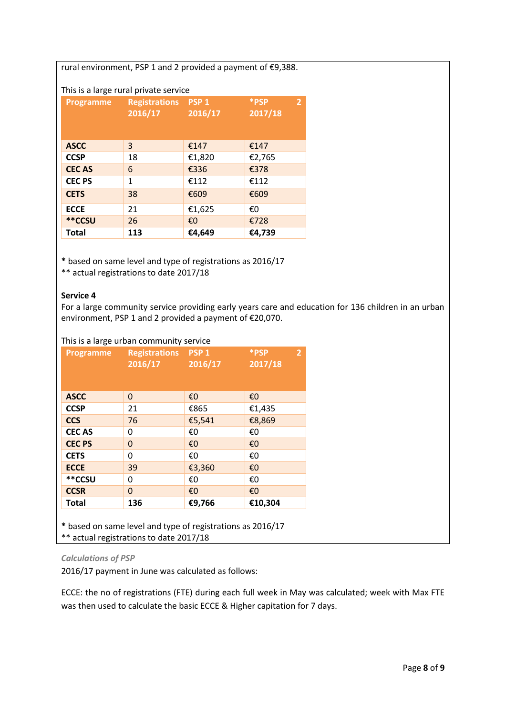rural environment, PSP 1 and 2 provided a payment of €9,388.

# This is a large rural private service

| <b>Programme</b> | <b>Registrations</b><br>2016/17 | PSP <sub>1</sub><br>2016/17 | *PSP<br>$\overline{2}$<br>$\sqrt{2017/18}$ |
|------------------|---------------------------------|-----------------------------|--------------------------------------------|
| <b>ASCC</b>      | 3                               | €147                        | €147                                       |
| <b>CCSP</b>      | 18                              | €1,820                      | €2,765                                     |
| <b>CECAS</b>     | 6                               | €336                        | €378                                       |
| <b>CEC PS</b>    | 1                               | €112                        | €112                                       |
| <b>CETS</b>      | 38                              | €609                        | €609                                       |
| <b>ECCE</b>      | 21                              | €1,625                      | €0                                         |
| **CCSU           | 26                              | €0                          | €728                                       |
| <b>Total</b>     | 113                             | €4,649                      | €4,739                                     |

**\*** based on same level and type of registrations as 2016/17

\*\* actual registrations to date 2017/18

#### **Service 4**

For a large community service providing early years care and education for 136 children in an urban environment, PSP 1 and 2 provided a payment of €20,070.

This is a large urban community service

| <b>Programme</b> | <b>Registrations</b><br>2016/17 | PSP <sub>1</sub><br>2016/17 | *PSP<br>$\overline{2}$<br>2017/18 |
|------------------|---------------------------------|-----------------------------|-----------------------------------|
| <b>ASCC</b>      | 0                               | €0                          | $\epsilon$ <sup>0</sup>           |
| <b>CCSP</b>      | 21                              | €865                        | €1,435                            |
| <b>CCS</b>       | 76                              | €5,541                      | €8,869                            |
| <b>CECAS</b>     | 0                               | €0                          | €0                                |
| <b>CEC PS</b>    | 0                               | €0                          | €0                                |
| <b>CETS</b>      | 0                               | €0                          | €0                                |
| <b>ECCE</b>      | 39                              | €3,360                      | €0                                |
| **CCSU           | 0                               | €0                          | €0                                |
| <b>CCSR</b>      | 0                               | €0                          | $\epsilon$ <sup>0</sup>           |
| <b>Total</b>     | 136                             | €9,766                      | €10,304                           |
|                  |                                 |                             |                                   |

**\*** based on same level and type of registrations as 2016/17 \*\* actual registrations to date 2017/18

## *Calculations of PSP*

2016/17 payment in June was calculated as follows:

ECCE: the no of registrations (FTE) during each full week in May was calculated; week with Max FTE was then used to calculate the basic ECCE & Higher capitation for 7 days.